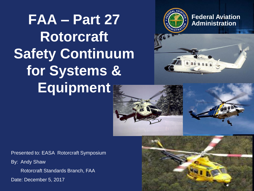# $FAA - Part 27$  **Part 27** *Part 27 Part 27 <b>Administration* **Rotorcraft Safety Continuum for Systems & Equipment**





Presented to: EASA Rotorcraft Symposium

By: Andy Shaw

Rotorcraft Standards Branch, FAA

Date: December 5, 2017

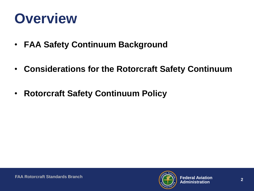## **Overview**

- **FAA Safety Continuum Background**
- **Considerations for the Rotorcraft Safety Continuum**
- **Rotorcraft Safety Continuum Policy**

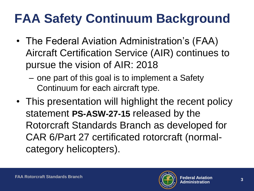## **FAA Safety Continuum Background**

- The Federal Aviation Administration's (FAA) Aircraft Certification Service (AIR) continues to pursue the vision of AIR: 2018
	- one part of this goal is to implement a Safety Continuum for each aircraft type.
- This presentation will highlight the recent policy statement **PS-ASW-27-15** released by the Rotorcraft Standards Branch as developed for CAR 6/Part 27 certificated rotorcraft (normalcategory helicopters).

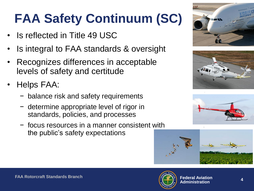## **FAA Safety Continuum (SC)**

- **Is reflected in Title 49 USC**
- Is integral to FAA standards & oversight
- Recognizes differences in acceptable levels of safety and certitude
- Helps FAA:
	- − balance risk and safety requirements
	- − determine appropriate level of rigor in standards, policies, and processes
	- − focus resources in a manner consistent with the public's safety expectations









.

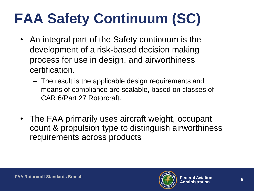# **FAA Safety Continuum (SC)**

- An integral part of the Safety continuum is the development of a risk-based decision making process for use in design, and airworthiness certification.
	- The result is the applicable design requirements and means of compliance are scalable, based on classes of CAR 6/Part 27 Rotorcraft.
- The FAA primarily uses aircraft weight, occupant count & propulsion type to distinguish airworthiness requirements across products

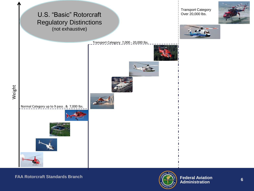

**FAA Rotorcraft Standards Branch**



**6**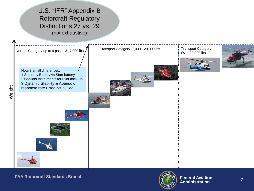



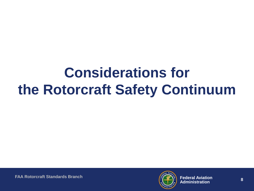## **Considerations for the Rotorcraft Safety Continuum**

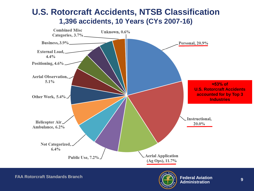

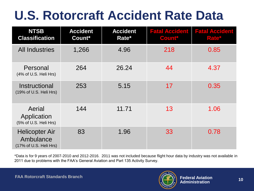## **U.S. Rotorcraft Accident Rate Data**

| <b>NTSB</b><br><b>Classification</b>                         | <b>Accident</b><br>Count* | <b>Accident</b><br>Rate* | <b>Fatal Accident</b><br>Count* | <b>Fatal Accident</b><br>Rate* |
|--------------------------------------------------------------|---------------------------|--------------------------|---------------------------------|--------------------------------|
| <b>All Industries</b>                                        | 1,266                     | 4.96                     | 218                             | 0.85                           |
| Personal<br>(4% of U.S. Heli Hrs)                            | 264                       | 26.24                    | 44                              | 4.37                           |
| Instructional<br>(19% of U.S. Heli Hrs)                      | 253                       | 5.15                     | 17                              | 0.35                           |
| Aerial<br>Application<br>(5% of U.S. Heli Hrs)               | 144                       | 11.71                    | 13                              | 1.06                           |
| <b>Helicopter Air</b><br>Ambulance<br>(17% of U.S. Heli Hrs) | 83                        | 1.96                     | 33                              | 0.78                           |

\*Data is for 9 years of 2007-2010 and 2012-2016. 2011 was not included because flight hour data by industry was not available in 2011 due to problems with the FAA's General Aviation and Part 135 Activity Survey.

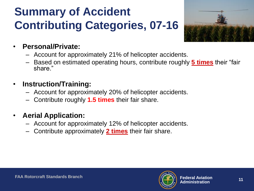## **Summary of Accident Contributing Categories, 07-16**



#### • **Personal/Private:**

- Account for approximately 21% of helicopter accidents.
- Based on estimated operating hours, contribute roughly **5 times** their "fair share."
- **Instruction/Training:**
	- Account for approximately 20% of helicopter accidents.
	- Contribute roughly **1.5 times** their fair share.
- **Aerial Application:**
	- Account for approximately 12% of helicopter accidents.
	- Contribute approximately **2 times** their fair share.

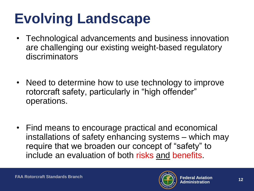# **Evolving Landscape**

- Technological advancements and business innovation are challenging our existing weight-based regulatory discriminators
- Need to determine how to use technology to improve rotorcraft safety, particularly in "high offender" operations.
- Find means to encourage practical and economical installations of safety enhancing systems – which may require that we broaden our concept of "safety" to include an evaluation of both risks and benefits.

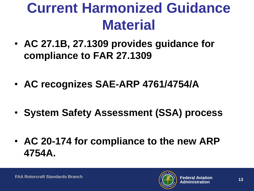## **Current Harmonized Guidance Material**

- **AC 27.1B, 27.1309 provides guidance for compliance to FAR 27.1309**
- **AC recognizes SAE-ARP 4761/4754/A**
- **System Safety Assessment (SSA) process**
- **AC 20-174 for compliance to the new ARP 4754A.**

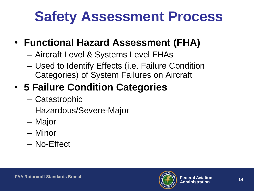# **Safety Assessment Process**

#### • **Functional Hazard Assessment (FHA)**

- Aircraft Level & Systems Level FHAs
- Used to Identify Effects (i.e. Failure Condition Categories) of System Failures on Aircraft

## • **5 Failure Condition Categories**

- Catastrophic
- Hazardous/Severe-Major
- Major
- Minor
- No-Effect

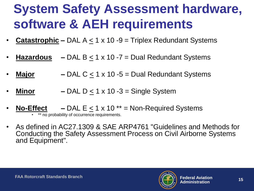## **System Safety Assessment hardware, software & AEH requirements**

- **Catastrophic** DAL  $A \le 1 \times 10$  -9 = Triplex Redundant Systems
- **Hazardous**  $-$  DAL B  $\leq$  1 x 10 -7 = Dual Redundant Systems
- **Major**  $-$  DAL C  $\leq$  1 x 10 -5 = Dual Redundant Systems
- **Minor**  $-$  DAL D  $\leq$  1 x 10 -3 = Single System
- **No-Effect –** DAL E < 1 x 10 \*\* = Non-Required Systems
	- \*\* no probability of occurrence requirements.
- As defined in AC27.1309 & SAE ARP4761 "Guidelines and Methods for Conducting the Safety Assessment Process on Civil Airborne Systems and Equipment".

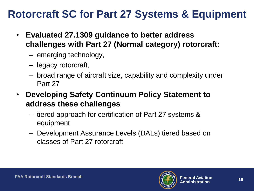#### **Rotorcraft SC for Part 27 Systems & Equipment**

- **Evaluated 27.1309 guidance to better address challenges with Part 27 (Normal category) rotorcraft:**
	- emerging technology,
	- legacy rotorcraft,
	- broad range of aircraft size, capability and complexity under Part 27
- **Developing Safety Continuum Policy Statement to address these challenges**
	- tiered approach for certification of Part 27 systems & equipment
	- Development Assurance Levels (DALs) tiered based on classes of Part 27 rotorcraft

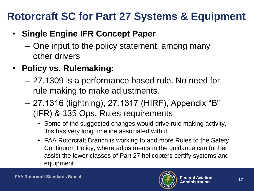#### **Rotorcraft SC for Part 27 Systems & Equipment**

#### • **Single Engine IFR Concept Paper**

- One input to the policy statement, among many other drivers
- **Policy vs. Rulemaking:**
	- 27.1309 is a performance based rule. No need for rule making to make adjustments.
	- 27.1316 (lightning), 27.1317 (HIRF), Appendix "B" (IFR) & 135 Ops. Rules requirements
		- Some of the suggested changes would drive rule making activity, this has very long timeline associated with it.
		- FAA Rotorcraft Branch is working to add more Rules to the Safety Continuum Policy, where adjustments in the guidance can further assist the lower classes of Part 27 helicopters certify systems and equipment.

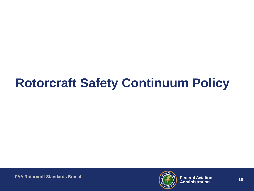## **Rotorcraft Safety Continuum Policy**

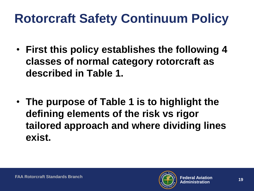## **Rotorcraft Safety Continuum Policy**

- **First this policy establishes the following 4 classes of normal category rotorcraft as described in Table 1.**
- **The purpose of Table 1 is to highlight the defining elements of the risk vs rigor tailored approach and where dividing lines exist.**

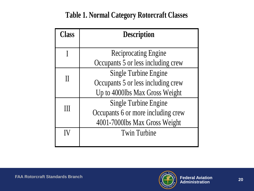#### **Table 1. Normal Category Rotorcraft Classes**

| <b>Class</b> | <b>Description</b>                 |  |  |  |
|--------------|------------------------------------|--|--|--|
|              |                                    |  |  |  |
|              | <b>Reciprocating Engine</b>        |  |  |  |
|              | Occupants 5 or less including crew |  |  |  |
|              | <b>Single Turbine Engine</b>       |  |  |  |
|              | Occupants 5 or less including crew |  |  |  |
|              | Up to 4000lbs Max Gross Weight     |  |  |  |
|              | <b>Single Turbine Engine</b>       |  |  |  |
|              | Occupants 6 or more including crew |  |  |  |
|              | 4001-7000lbs Max Gross Weight      |  |  |  |
|              | <b>Twin Turbine</b>                |  |  |  |
|              |                                    |  |  |  |

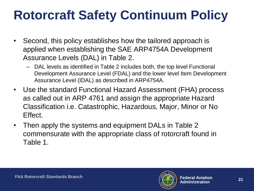## **Rotorcraft Safety Continuum Policy**

- Second, this policy establishes how the tailored approach is applied when establishing the SAE ARP4754A Development Assurance Levels (DAL) in Table 2.
	- DAL levels as identified in Table 2 includes both, the top level Functional Development Assurance Level (FDAL) and the lower level Item Development Assurance Level (IDAL) as described in ARP4754A.
- Use the standard Functional Hazard Assessment (FHA) process as called out in ARP 4761 and assign the appropriate Hazard Classification i.e. Catastrophic, Hazardous, Major, Minor or No Effect.
- Then apply the systems and equipment DALs in Table 2 commensurate with the appropriate class of rotorcraft found in Table 1.

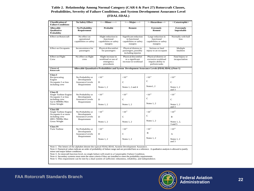#### **Probabilities, Severity of Failure Conditions, and System Development Assurance Level (FDAL/IDAL)**

| <b>Classification of</b><br><b>Failure Conditions</b>                                                                  | <b>No Safety Effect</b>                                                                           | <-----Minor----->                                                      | <----Major---->                                                             | <--Hazardous--->                                                                  |  |
|------------------------------------------------------------------------------------------------------------------------|---------------------------------------------------------------------------------------------------|------------------------------------------------------------------------|-----------------------------------------------------------------------------|-----------------------------------------------------------------------------------|--|
| <b>Allowable</b><br><b>Qualitative</b><br>Probability                                                                  | <b>No Probability</b><br>Requirement                                                              | Probable                                                               | Remote                                                                      | <b>Extremely</b><br>Remote                                                        |  |
| <b>Effect on Rotorcraft</b>                                                                                            | No effect on<br>operational<br>capabilities or safety                                             | Slight reduction in<br>functional<br>capabilities or safety<br>margins | Significant reduction<br>in functional<br>capabilities or safety<br>margins | Large reduction in<br>functional<br>capabilities or safety<br>margins             |  |
| <b>Effect on Occupants</b>                                                                                             | Inconvenience for<br>passengers                                                                   | Physical discomfort<br>for passengers                                  | Physical distress to<br>passengers, possibly<br>including injuries          | Serious or fatal<br>injury to an occupant                                         |  |
| <b>Effect on Flight</b><br>Crew                                                                                        | No effect on flight<br>crew                                                                       | Slight increase in<br>workload or use of<br>emergency<br>procedures    | Physical discomfort<br>or a significant<br>increase in workload             | Physical distress or<br>excessive workload<br>impairs ability to<br>perform tasks |  |
| <b>Classes of</b><br>Rotorcraft                                                                                        | Allowable Quantitative Probabilities and System Development Assurance Levels (FDAL/IDAL) (Note 1) |                                                                        |                                                                             |                                                                                   |  |
| <b>Class I</b><br>Reciprocating<br>Engine<br>Occupants 5 or less<br>including crew                                     | No Probability or<br>Development<br><b>Assurance Levels</b><br>Requirement                        | ${<}10^{-3}$                                                           | ${<}10^{-4}$                                                                | ${<}10^{-5}$                                                                      |  |
|                                                                                                                        |                                                                                                   | D<br>Notes $1, 2$                                                      | $\mathbf C$<br>Notes 1, 2 and 4                                             | $\mathbf C$<br>Notes1, 2                                                          |  |
| Class II<br>Single Turbine Engine<br>Occupants 5 or less<br>including crew<br>Up to 4000lbs Max<br>Gross Weight        | No Probability or<br>Development<br><b>Assurance Levels</b><br>Requirement                        | ${<}10^{-3}$                                                           | ${<}10^{-5}$                                                                | ${<}10^{-6}$                                                                      |  |
|                                                                                                                        |                                                                                                   | D<br>Notes $1, 2$                                                      | $\mathbf C$<br>Notes $1, 2$                                                 | $\mathbf C$<br>Notes 1.2                                                          |  |
| <b>Class III</b><br>Single Turbine Engine<br>Occupants 6 or more<br>including crew<br>4001-7000lbs Max<br>Gross Weight | No Probability or<br>Development<br><b>Assurance Levels</b><br>Requirement                        | $< 10^{-3}$                                                            | ${<}10^{-5}$                                                                | $<10^{-7}$                                                                        |  |
|                                                                                                                        |                                                                                                   | D<br>Notes $1, 2$                                                      | $\mathbf C$<br>Notes $1, 2$                                                 | $\mathsf{C}$<br>Notes $1, 2$                                                      |  |
| <b>Class IV</b>                                                                                                        |                                                                                                   |                                                                        |                                                                             |                                                                                   |  |
| Twin Turbine                                                                                                           | No Probability or<br>Development<br><b>Assurance Levels</b><br>Requirement                        | ${<}10^{-3}$<br>D                                                      | ${<}10^{-5}$<br>$\mathbf C$                                                 | ${<}10^{-7}$<br>в                                                                 |  |
|                                                                                                                        |                                                                                                   | Notes $1, 2$                                                           | Notes $1, 2$                                                                | Notes $1, 2$                                                                      |  |

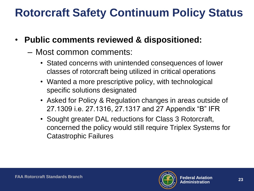#### **Rotorcraft Safety Continuum Policy Status**

- **Public comments reviewed & dispositioned:**
	- Most common comments:
		- Stated concerns with unintended consequences of lower classes of rotorcraft being utilized in critical operations
		- Wanted a more prescriptive policy, with technological specific solutions designated
		- Asked for Policy & Regulation changes in areas outside of 27.1309 i.e. 27.1316, 27.1317 and 27 Appendix "B" IFR
		- Sought greater DAL reductions for Class 3 Rotorcraft, concerned the policy would still require Triplex Systems for Catastrophic Failures

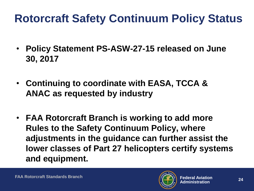## **Rotorcraft Safety Continuum Policy Status**

- **Policy Statement PS-ASW-27-15 released on June 30, 2017**
- **Continuing to coordinate with EASA, TCCA & ANAC as requested by industry**
- **FAA Rotorcraft Branch is working to add more Rules to the Safety Continuum Policy, where adjustments in the guidance can further assist the lower classes of Part 27 helicopters certify systems and equipment.**